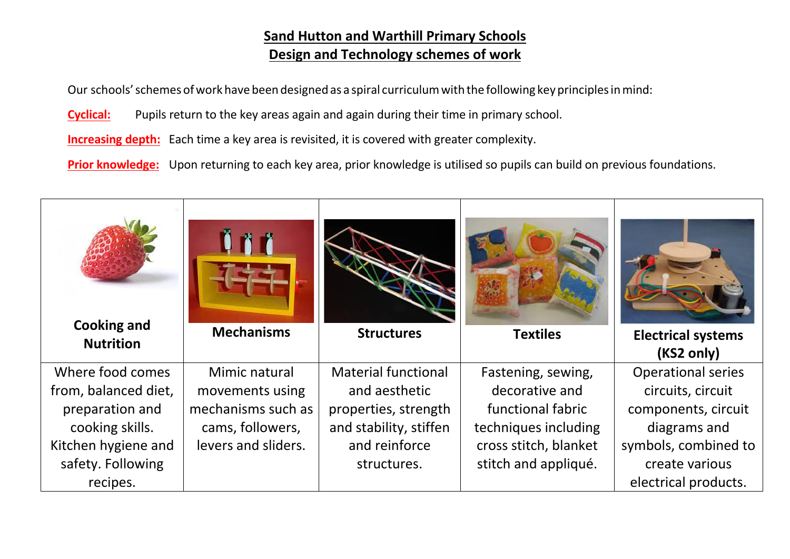## **Sand Hutton and Warthill Primary Schools Design and Technology schemes of work**

Our schools' schemes of work have been designed as a spiral curriculum with the following key principles in mind:

**Cyclical:** Pupils return to the key areas again and again during their time in primary school.

**Increasing depth:** Each time a key area is revisited, it is covered with greater complexity.

**Prior knowledge:** Upon returning to each key area, prior knowledge is utilised so pupils can build on previous foundations.

| <b>Cooking and</b>   | <b>Mechanisms</b>   | <b>Structures</b>          | <b>Textiles</b>       |                                         |
|----------------------|---------------------|----------------------------|-----------------------|-----------------------------------------|
| <b>Nutrition</b>     |                     |                            |                       | <b>Electrical systems</b><br>(KS2 only) |
| Where food comes     | Mimic natural       | <b>Material functional</b> | Fastening, sewing,    | <b>Operational series</b>               |
| from, balanced diet, | movements using     | and aesthetic              | decorative and        | circuits, circuit                       |
| preparation and      | mechanisms such as  | properties, strength       | functional fabric     | components, circuit                     |
| cooking skills.      | cams, followers,    | and stability, stiffen     | techniques including  | diagrams and                            |
| Kitchen hygiene and  | levers and sliders. | and reinforce              | cross stitch, blanket | symbols, combined to                    |
| safety. Following    |                     | structures.                | stitch and appliqué.  | create various                          |
| recipes.             |                     |                            |                       | electrical products.                    |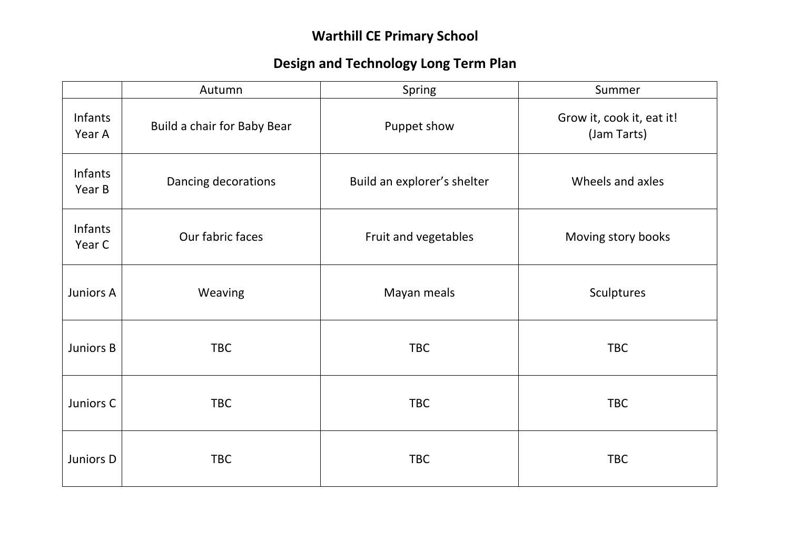# **Warthill CE Primary School**

# **Design and Technology Long Term Plan**

|                   | Autumn                      | Spring                      | Summer                                   |
|-------------------|-----------------------------|-----------------------------|------------------------------------------|
| Infants<br>Year A | Build a chair for Baby Bear | Puppet show                 | Grow it, cook it, eat it!<br>(Jam Tarts) |
| Infants<br>Year B | Dancing decorations         | Build an explorer's shelter | Wheels and axles                         |
| Infants<br>Year C | Our fabric faces            | Fruit and vegetables        | Moving story books                       |
| Juniors A         | Weaving                     | Mayan meals                 | Sculptures                               |
| Juniors B         | <b>TBC</b>                  | <b>TBC</b>                  | <b>TBC</b>                               |
| Juniors C         | <b>TBC</b>                  | <b>TBC</b>                  | <b>TBC</b>                               |
| Juniors D         | <b>TBC</b>                  | <b>TBC</b>                  | <b>TBC</b>                               |